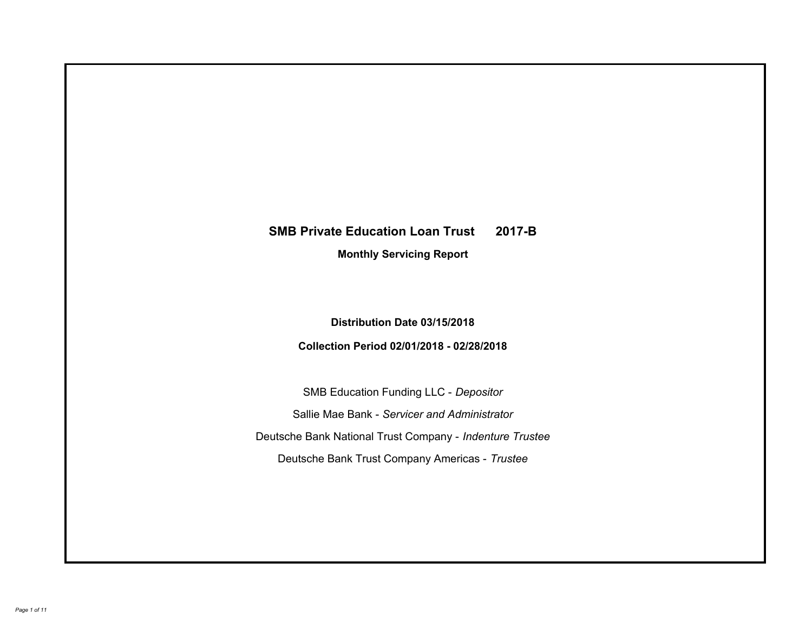# **SMB Private Education Loan Trust 2017-B Monthly Servicing Report**

# **Distribution Date 03/15/2018**

# **Collection Period 02/01/2018 - 02/28/2018**

SMB Education Funding LLC - *Depositor* Sallie Mae Bank - *Servicer and Administrator* Deutsche Bank National Trust Company - *Indenture Trustee* Deutsche Bank Trust Company Americas - *Trustee*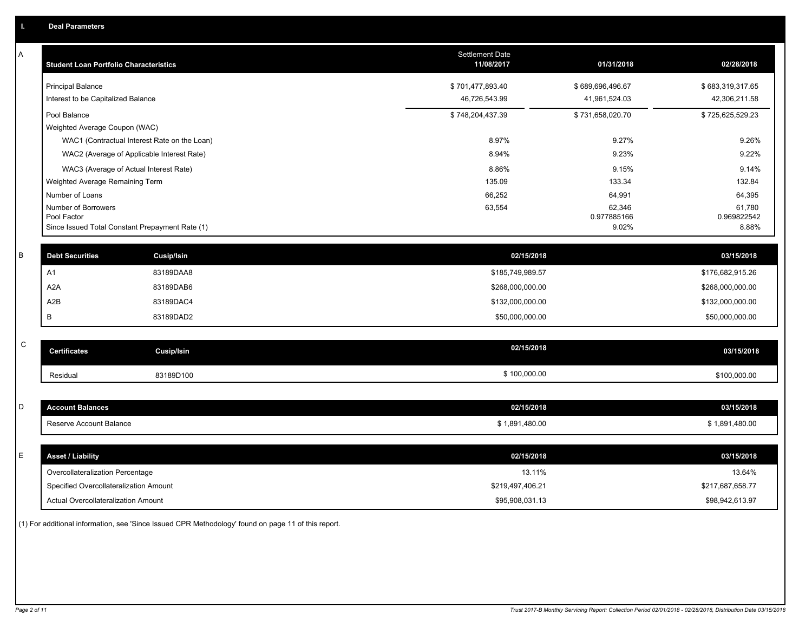| Α           | <b>Student Loan Portfolio Characteristics</b>   |                   | Settlement Date<br>11/08/2017 | 01/31/2018            | 02/28/2018            |
|-------------|-------------------------------------------------|-------------------|-------------------------------|-----------------------|-----------------------|
|             | <b>Principal Balance</b>                        |                   | \$701,477,893.40              | \$689,696,496.67      | \$683,319,317.65      |
|             | Interest to be Capitalized Balance              |                   | 46,726,543.99                 | 41,961,524.03         | 42,306,211.58         |
|             | Pool Balance                                    |                   | \$748,204,437.39              | \$731,658,020.70      | \$725,625,529.23      |
|             | Weighted Average Coupon (WAC)                   |                   |                               |                       |                       |
|             | WAC1 (Contractual Interest Rate on the Loan)    |                   | 8.97%                         | 9.27%                 | 9.26%                 |
|             | WAC2 (Average of Applicable Interest Rate)      |                   | 8.94%                         | 9.23%                 | 9.22%                 |
|             | WAC3 (Average of Actual Interest Rate)          |                   | 8.86%                         | 9.15%                 | 9.14%                 |
|             | Weighted Average Remaining Term                 |                   | 135.09                        | 133.34                | 132.84                |
|             | Number of Loans                                 |                   | 66,252                        | 64,991                | 64,395                |
|             | Number of Borrowers<br>Pool Factor              |                   | 63,554                        | 62,346<br>0.977885166 | 61,780<br>0.969822542 |
|             | Since Issued Total Constant Prepayment Rate (1) |                   |                               | 9.02%                 | 8.88%                 |
|             |                                                 |                   |                               |                       |                       |
| B           | <b>Debt Securities</b>                          | <b>Cusip/Isin</b> | 02/15/2018                    |                       | 03/15/2018            |
|             | A1                                              | 83189DAA8         | \$185,749,989.57              |                       | \$176,682,915.26      |
|             | A <sub>2</sub> A                                | 83189DAB6         | \$268,000,000.00              |                       | \$268,000,000.00      |
|             | A2B                                             | 83189DAC4         | \$132,000,000.00              |                       | \$132,000,000.00      |
|             | B                                               | 83189DAD2         | \$50,000,000.00               |                       | \$50,000,000.00       |
|             |                                                 |                   |                               |                       |                       |
| $\mathsf C$ | <b>Certificates</b>                             | Cusip/Isin        | 02/15/2018                    |                       | 03/15/2018            |
|             | Residual                                        | 83189D100         | \$100,000.00                  |                       | \$100,000.00          |
|             |                                                 |                   |                               |                       |                       |
| D           | <b>Account Balances</b>                         |                   | 02/15/2018                    |                       | 03/15/2018            |
|             | Reserve Account Balance                         |                   | \$1,891,480.00                |                       | \$1,891,480.00        |
|             |                                                 |                   |                               |                       |                       |
| E           | <b>Asset / Liability</b>                        |                   | 02/15/2018                    |                       | 03/15/2018            |
|             | Overcollateralization Percentage                |                   | 13.11%                        |                       | 13.64%                |
|             | Specified Overcollateralization Amount          |                   | \$219,497,406.21              |                       | \$217,687,658.77      |
|             | Actual Overcollateralization Amount             |                   | \$95,908,031.13               |                       | \$98,942,613.97       |

(1) For additional information, see 'Since Issued CPR Methodology' found on page 11 of this report.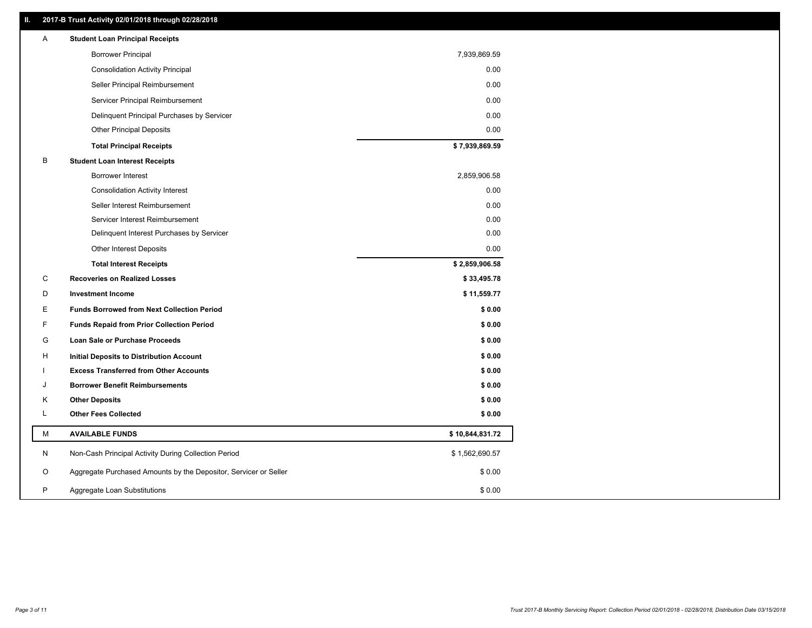### **II. 2017-B Trust Activity 02/01/2018 through 02/28/2018**

| Α  | <b>Student Loan Principal Receipts</b>                           |                 |
|----|------------------------------------------------------------------|-----------------|
|    | <b>Borrower Principal</b>                                        | 7,939,869.59    |
|    | <b>Consolidation Activity Principal</b>                          | 0.00            |
|    | Seller Principal Reimbursement                                   | 0.00            |
|    | Servicer Principal Reimbursement                                 | 0.00            |
|    | Delinquent Principal Purchases by Servicer                       | 0.00            |
|    | <b>Other Principal Deposits</b>                                  | 0.00            |
|    | <b>Total Principal Receipts</b>                                  | \$7,939,869.59  |
| B  | <b>Student Loan Interest Receipts</b>                            |                 |
|    | Borrower Interest                                                | 2,859,906.58    |
|    | <b>Consolidation Activity Interest</b>                           | 0.00            |
|    | Seller Interest Reimbursement                                    | 0.00            |
|    | Servicer Interest Reimbursement                                  | 0.00            |
|    | Delinquent Interest Purchases by Servicer                        | 0.00            |
|    | <b>Other Interest Deposits</b>                                   | 0.00            |
|    | <b>Total Interest Receipts</b>                                   | \$2,859,906.58  |
| C  | <b>Recoveries on Realized Losses</b>                             | \$33,495.78     |
| D  | <b>Investment Income</b>                                         | \$11,559.77     |
| E. | <b>Funds Borrowed from Next Collection Period</b>                | \$0.00          |
| F  | <b>Funds Repaid from Prior Collection Period</b>                 | \$0.00          |
| G  | <b>Loan Sale or Purchase Proceeds</b>                            | \$0.00          |
| н  | Initial Deposits to Distribution Account                         | \$0.00          |
|    | <b>Excess Transferred from Other Accounts</b>                    | \$0.00          |
| J  | <b>Borrower Benefit Reimbursements</b>                           | \$0.00          |
| Κ  | <b>Other Deposits</b>                                            | \$0.00          |
| L  | <b>Other Fees Collected</b>                                      | \$0.00          |
| M  | <b>AVAILABLE FUNDS</b>                                           | \$10,844,831.72 |
| N  | Non-Cash Principal Activity During Collection Period             | \$1,562,690.57  |
| O  | Aggregate Purchased Amounts by the Depositor, Servicer or Seller | \$0.00          |
| P  |                                                                  |                 |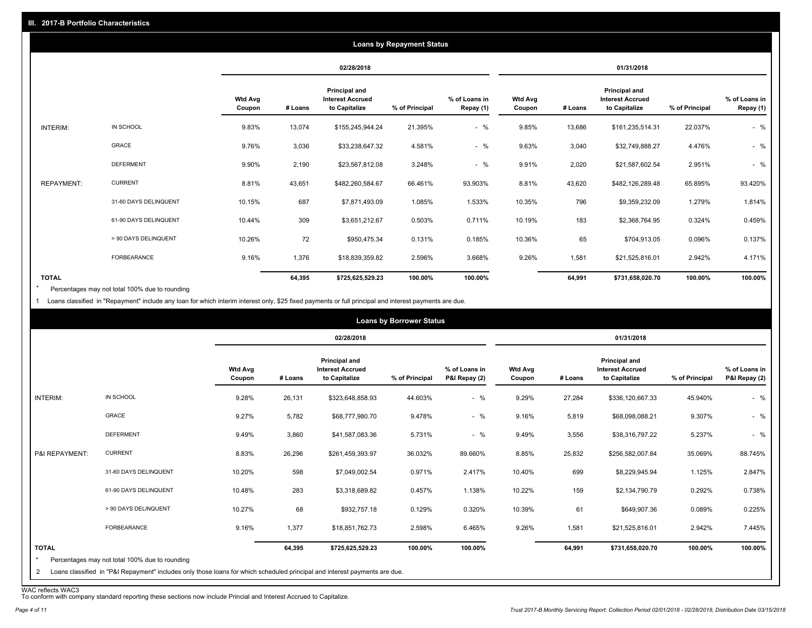|                   |                       |                          |         |                                                           | <b>Loans by Repayment Status</b> |                            |                          |         |                                                                  |                |                            |
|-------------------|-----------------------|--------------------------|---------|-----------------------------------------------------------|----------------------------------|----------------------------|--------------------------|---------|------------------------------------------------------------------|----------------|----------------------------|
|                   |                       |                          |         | 02/28/2018                                                |                                  |                            |                          |         | 01/31/2018                                                       |                |                            |
|                   |                       | <b>Wtd Avg</b><br>Coupon | # Loans | Principal and<br><b>Interest Accrued</b><br>to Capitalize | % of Principal                   | % of Loans in<br>Repay (1) | <b>Wtd Avg</b><br>Coupon | # Loans | <b>Principal and</b><br><b>Interest Accrued</b><br>to Capitalize | % of Principal | % of Loans in<br>Repay (1) |
| INTERIM:          | IN SCHOOL             | 9.83%                    | 13,074  | \$155,245,944.24                                          | 21.395%                          | $-$ %                      | 9.85%                    | 13,686  | \$161,235,514.31                                                 | 22.037%        | $-$ %                      |
|                   | GRACE                 | 9.76%                    | 3,036   | \$33,238,647.32                                           | 4.581%                           | $-$ %                      | 9.63%                    | 3,040   | \$32,749,888.27                                                  | 4.476%         | $-$ %                      |
|                   | <b>DEFERMENT</b>      | 9.90%                    | 2,190   | \$23,567,812.08                                           | 3.248%                           | $-$ %                      | 9.91%                    | 2,020   | \$21,587,602.54                                                  | 2.951%         | $-$ %                      |
| <b>REPAYMENT:</b> | <b>CURRENT</b>        | 8.81%                    | 43,651  | \$482,260,584.67                                          | 66.461%                          | 93.903%                    | 8.81%                    | 43,620  | \$482,126,289.48                                                 | 65.895%        | 93.420%                    |
|                   | 31-60 DAYS DELINQUENT | 10.15%                   | 687     | \$7,871,493.09                                            | 1.085%                           | 1.533%                     | 10.35%                   | 796     | \$9,359,232.09                                                   | 1.279%         | 1.814%                     |
|                   | 61-90 DAYS DELINQUENT | 10.44%                   | 309     | \$3,651,212.67                                            | 0.503%                           | 0.711%                     | 10.19%                   | 183     | \$2,368,764.95                                                   | 0.324%         | 0.459%                     |
|                   | > 90 DAYS DELINQUENT  | 10.26%                   | 72      | \$950,475.34                                              | 0.131%                           | 0.185%                     | 10.36%                   | 65      | \$704,913.05                                                     | 0.096%         | 0.137%                     |
|                   | FORBEARANCE           | 9.16%                    | 1,376   | \$18,839,359.82                                           | 2.596%                           | 3.668%                     | 9.26%                    | 1,581   | \$21,525,816.01                                                  | 2.942%         | 4.171%                     |
| <b>TOTAL</b>      |                       |                          | 64,395  | \$725,625,529.23                                          | 100.00%                          | 100.00%                    |                          | 64,991  | \$731,658,020.70                                                 | 100.00%        | 100.00%                    |

Percentages may not total 100% due to rounding \*

1 Loans classified in "Repayment" include any loan for which interim interest only, \$25 fixed payments or full principal and interest payments are due.

|                         |                                                                                                                            |                          |         |                                                                  | <b>Loans by Borrower Status</b> |                                |                          |         |                                                           |                |                                |
|-------------------------|----------------------------------------------------------------------------------------------------------------------------|--------------------------|---------|------------------------------------------------------------------|---------------------------------|--------------------------------|--------------------------|---------|-----------------------------------------------------------|----------------|--------------------------------|
|                         |                                                                                                                            |                          |         | 02/28/2018                                                       |                                 |                                |                          |         | 01/31/2018                                                |                |                                |
|                         |                                                                                                                            | <b>Wtd Avg</b><br>Coupon | # Loans | <b>Principal and</b><br><b>Interest Accrued</b><br>to Capitalize | % of Principal                  | % of Loans in<br>P&I Repay (2) | <b>Wtd Avg</b><br>Coupon | # Loans | Principal and<br><b>Interest Accrued</b><br>to Capitalize | % of Principal | % of Loans in<br>P&I Repay (2) |
| INTERIM:                | IN SCHOOL                                                                                                                  | 9.28%                    | 26,131  | \$323,648,858.93                                                 | 44.603%                         | $-$ %                          | 9.29%                    | 27,284  | \$336,120,667.33                                          | 45.940%        | $-$ %                          |
|                         | <b>GRACE</b>                                                                                                               | 9.27%                    | 5,782   | \$68,777,980.70                                                  | 9.478%                          | $-$ %                          | 9.16%                    | 5,819   | \$68,098,088.21                                           | 9.307%         | $-$ %                          |
|                         | <b>DEFERMENT</b>                                                                                                           | 9.49%                    | 3,860   | \$41,587,083.36                                                  | 5.731%                          | $-$ %                          | 9.49%                    | 3,556   | \$38,316,797.22                                           | 5.237%         | $-$ %                          |
| P&I REPAYMENT:          | <b>CURRENT</b>                                                                                                             | 8.83%                    | 26,296  | \$261,459,393.97                                                 | 36.032%                         | 89.660%                        | 8.85%                    | 25,832  | \$256,582,007.84                                          | 35.069%        | 88.745%                        |
|                         | 31-60 DAYS DELINQUENT                                                                                                      | 10.20%                   | 598     | \$7,049,002.54                                                   | 0.971%                          | 2.417%                         | 10.40%                   | 699     | \$8,229,945.94                                            | 1.125%         | 2.847%                         |
|                         | 61-90 DAYS DELINQUENT                                                                                                      | 10.48%                   | 283     | \$3,318,689.82                                                   | 0.457%                          | 1.138%                         | 10.22%                   | 159     | \$2,134,790.79                                            | 0.292%         | 0.738%                         |
|                         | > 90 DAYS DELINQUENT                                                                                                       | 10.27%                   | 68      | \$932,757.18                                                     | 0.129%                          | 0.320%                         | 10.39%                   | 61      | \$649,907.36                                              | 0.089%         | 0.225%                         |
|                         | FORBEARANCE                                                                                                                | 9.16%                    | 1,377   | \$18,851,762.73                                                  | 2.598%                          | 6.465%                         | 9.26%                    | 1,581   | \$21,525,816.01                                           | 2.942%         | 7.445%                         |
| <b>TOTAL</b><br>$\star$ | Percentages may not total 100% due to rounding                                                                             |                          | 64,395  | \$725,625,529.23                                                 | 100.00%                         | 100.00%                        |                          | 64,991  | \$731,658,020.70                                          | 100.00%        | 100.00%                        |
| $\overline{2}$          | Loans classified in "P&I Repayment" includes only those loans for which scheduled principal and interest payments are due. |                          |         |                                                                  |                                 |                                |                          |         |                                                           |                |                                |

WAC reflects WAC3 To conform with company standard reporting these sections now include Princial and Interest Accrued to Capitalize.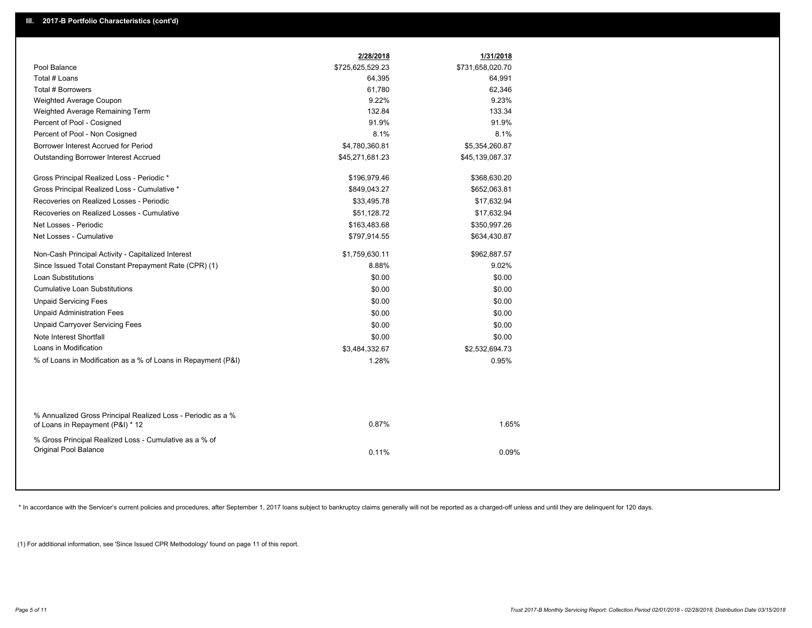|                                                                                                  | 2/28/2018        | 1/31/2018        |
|--------------------------------------------------------------------------------------------------|------------------|------------------|
| Pool Balance                                                                                     | \$725,625,529.23 | \$731,658,020.70 |
| Total # Loans                                                                                    | 64,395           | 64,991           |
| Total # Borrowers                                                                                | 61,780           | 62,346           |
| Weighted Average Coupon                                                                          | 9.22%            | 9.23%            |
| Weighted Average Remaining Term                                                                  | 132.84           | 133.34           |
| Percent of Pool - Cosigned                                                                       | 91.9%            | 91.9%            |
| Percent of Pool - Non Cosigned                                                                   | 8.1%             | 8.1%             |
| Borrower Interest Accrued for Period                                                             | \$4,780,360.81   | \$5,354,260.87   |
| Outstanding Borrower Interest Accrued                                                            | \$45,271,681.23  | \$45,139,087.37  |
| Gross Principal Realized Loss - Periodic *                                                       | \$196,979.46     | \$368,630.20     |
| Gross Principal Realized Loss - Cumulative *                                                     | \$849,043.27     | \$652,063.81     |
| Recoveries on Realized Losses - Periodic                                                         | \$33,495.78      | \$17,632.94      |
| Recoveries on Realized Losses - Cumulative                                                       | \$51,128.72      | \$17,632.94      |
| Net Losses - Periodic                                                                            | \$163,483.68     | \$350,997.26     |
| Net Losses - Cumulative                                                                          | \$797,914.55     | \$634,430.87     |
| Non-Cash Principal Activity - Capitalized Interest                                               | \$1,759,630.11   | \$962,887.57     |
| Since Issued Total Constant Prepayment Rate (CPR) (1)                                            | 8.88%            | 9.02%            |
| <b>Loan Substitutions</b>                                                                        | \$0.00           | \$0.00           |
| <b>Cumulative Loan Substitutions</b>                                                             | \$0.00           | \$0.00           |
| <b>Unpaid Servicing Fees</b>                                                                     | \$0.00           | \$0.00           |
| <b>Unpaid Administration Fees</b>                                                                | \$0.00           | \$0.00           |
| <b>Unpaid Carryover Servicing Fees</b>                                                           | \$0.00           | \$0.00           |
| Note Interest Shortfall                                                                          | \$0.00           | \$0.00           |
| Loans in Modification                                                                            | \$3,484,332.67   | \$2,532,694.73   |
| % of Loans in Modification as a % of Loans in Repayment (P&I)                                    | 1.28%            | 0.95%            |
|                                                                                                  |                  |                  |
| % Annualized Gross Principal Realized Loss - Periodic as a %<br>of Loans in Repayment (P&I) * 12 | 0.87%            | 1.65%            |
| % Gross Principal Realized Loss - Cumulative as a % of<br>Original Pool Balance                  | 0.11%            | 0.09%            |
|                                                                                                  |                  |                  |

\* In accordance with the Servicer's current policies and procedures, after September 1, 2017 loans subject to bankruptcy claims generally will not be reported as a charged-off unless and until they are delinquent for 120 d

(1) For additional information, see 'Since Issued CPR Methodology' found on page 11 of this report.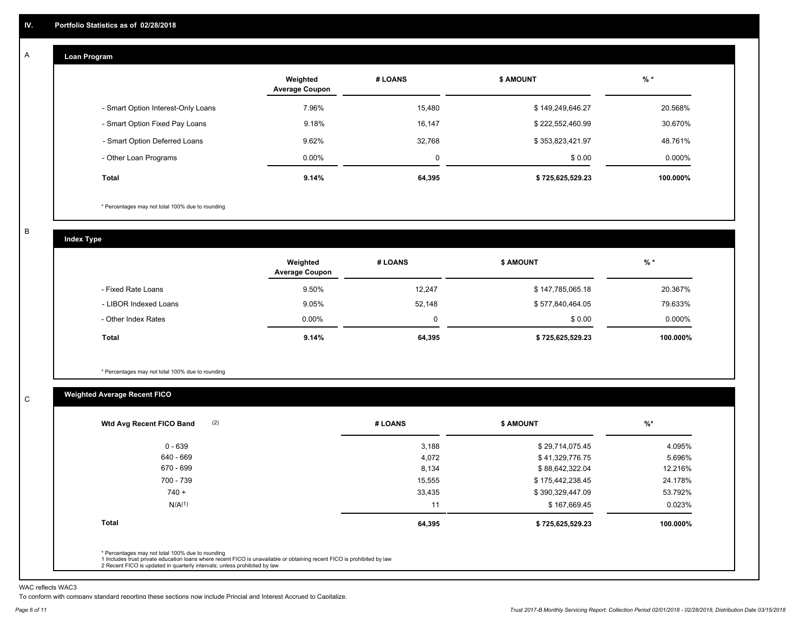#### **Loan Program**  A

|                                    | Weighted<br><b>Average Coupon</b> | # LOANS | <b>\$ AMOUNT</b> | $%$ *    |
|------------------------------------|-----------------------------------|---------|------------------|----------|
| - Smart Option Interest-Only Loans | 7.96%                             | 15.480  | \$149,249,646.27 | 20.568%  |
| - Smart Option Fixed Pay Loans     | 9.18%                             | 16,147  | \$222,552,460.99 | 30.670%  |
| - Smart Option Deferred Loans      | 9.62%                             | 32,768  | \$353,823,421.97 | 48.761%  |
| - Other Loan Programs              | $0.00\%$                          | 0       | \$0.00           | 0.000%   |
| Total                              | 9.14%                             | 64,395  | \$725,625,529.23 | 100.000% |

\* Percentages may not total 100% due to rounding

B

C

**Index Type**

|                       | Weighted<br><b>Average Coupon</b> | # LOANS     | <b>\$ AMOUNT</b> | $%$ *     |
|-----------------------|-----------------------------------|-------------|------------------|-----------|
| - Fixed Rate Loans    | 9.50%                             | 12.247      | \$147,785,065.18 | 20.367%   |
| - LIBOR Indexed Loans | 9.05%                             | 52,148      | \$577,840,464.05 | 79.633%   |
| - Other Index Rates   | $0.00\%$                          | $\mathbf 0$ | \$0.00           | $0.000\%$ |
| Total                 | 9.14%                             | 64,395      | \$725,625,529.23 | 100.000%  |

\* Percentages may not total 100% due to rounding

### **Weighted Average Recent FICO**

| (2)<br>Wtd Avg Recent FICO Band                                                                                                                                                                                                                          | # LOANS | <b>\$ AMOUNT</b> | $%$ *    |
|----------------------------------------------------------------------------------------------------------------------------------------------------------------------------------------------------------------------------------------------------------|---------|------------------|----------|
| $0 - 639$                                                                                                                                                                                                                                                | 3,188   | \$29,714,075.45  | 4.095%   |
| 640 - 669                                                                                                                                                                                                                                                | 4,072   | \$41,329,776.75  | 5.696%   |
| 670 - 699                                                                                                                                                                                                                                                | 8,134   | \$88,642,322.04  | 12.216%  |
| 700 - 739                                                                                                                                                                                                                                                | 15,555  | \$175,442,238.45 | 24.178%  |
| $740 +$                                                                                                                                                                                                                                                  | 33,435  | \$390,329,447.09 | 53.792%  |
| N/A(1)                                                                                                                                                                                                                                                   | 11      | \$167,669.45     | 0.023%   |
| <b>Total</b>                                                                                                                                                                                                                                             | 64,395  | \$725,625,529.23 | 100.000% |
| * Percentages may not total 100% due to rounding<br>1 Includes trust private education loans where recent FICO is unavailable or obtaining recent FICO is prohibited by law<br>2 Recent FICO is updated in quarterly intervals; unless prohibited by law |         |                  |          |

WAC reflects WAC3

To conform with company standard reporting these sections now include Princial and Interest Accrued to Capitalize.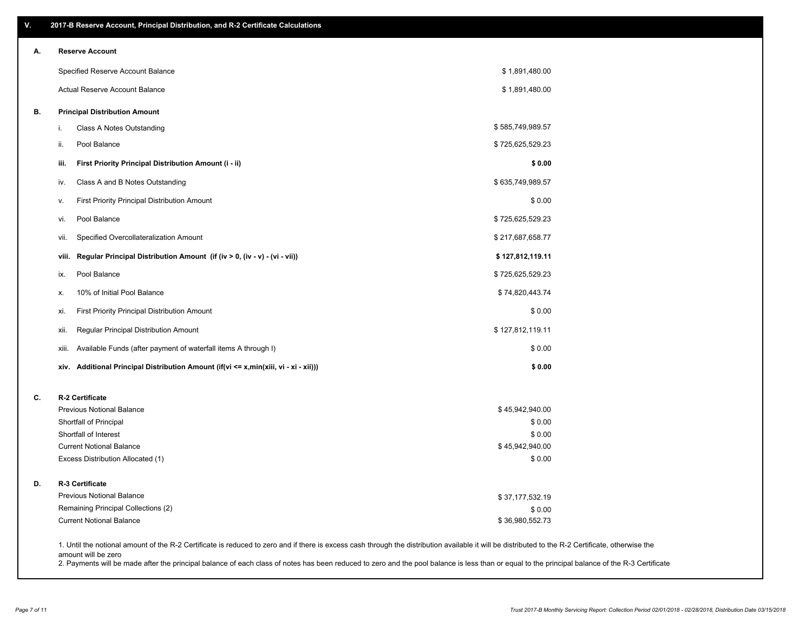| ۷. | 2017-B Reserve Account, Principal Distribution, and R-2 Certificate Calculations     |                                                                                                                                                                                                    |  |
|----|--------------------------------------------------------------------------------------|----------------------------------------------------------------------------------------------------------------------------------------------------------------------------------------------------|--|
| А. | <b>Reserve Account</b>                                                               |                                                                                                                                                                                                    |  |
|    | Specified Reserve Account Balance                                                    | \$1,891,480.00                                                                                                                                                                                     |  |
|    | <b>Actual Reserve Account Balance</b>                                                | \$1,891,480.00                                                                                                                                                                                     |  |
| В. | <b>Principal Distribution Amount</b>                                                 |                                                                                                                                                                                                    |  |
|    | Class A Notes Outstanding<br>i.                                                      | \$585,749,989.57                                                                                                                                                                                   |  |
|    | Pool Balance<br>ii.                                                                  | \$725,625,529.23                                                                                                                                                                                   |  |
|    | First Priority Principal Distribution Amount (i - ii)<br>iii.                        | \$0.00                                                                                                                                                                                             |  |
|    | Class A and B Notes Outstanding<br>iv.                                               | \$635,749,989.57                                                                                                                                                                                   |  |
|    | First Priority Principal Distribution Amount<br>v.                                   | \$0.00                                                                                                                                                                                             |  |
|    | Pool Balance<br>vi.                                                                  | \$725,625,529.23                                                                                                                                                                                   |  |
|    | Specified Overcollateralization Amount<br>vii.                                       | \$217,687,658.77                                                                                                                                                                                   |  |
|    | Regular Principal Distribution Amount (if (iv > 0, (iv - v) - (vi - vii))<br>viii.   | \$127,812,119.11                                                                                                                                                                                   |  |
|    | Pool Balance<br>ix.                                                                  | \$725,625,529.23                                                                                                                                                                                   |  |
|    | 10% of Initial Pool Balance<br>Х.                                                    | \$74,820,443.74                                                                                                                                                                                    |  |
|    | First Priority Principal Distribution Amount<br>xi.                                  | \$0.00                                                                                                                                                                                             |  |
|    | Regular Principal Distribution Amount<br>xii.                                        | \$127,812,119.11                                                                                                                                                                                   |  |
|    | Available Funds (after payment of waterfall items A through I)<br>xiii.              | \$0.00                                                                                                                                                                                             |  |
|    | xiv. Additional Principal Distribution Amount (if(vi <= x,min(xiii, vi - xi - xii))) | \$0.00                                                                                                                                                                                             |  |
| C. | R-2 Certificate                                                                      |                                                                                                                                                                                                    |  |
|    | <b>Previous Notional Balance</b>                                                     | \$45,942,940.00                                                                                                                                                                                    |  |
|    | Shortfall of Principal                                                               | \$0.00                                                                                                                                                                                             |  |
|    | Shortfall of Interest                                                                | \$0.00                                                                                                                                                                                             |  |
|    | <b>Current Notional Balance</b>                                                      | \$45,942,940.00                                                                                                                                                                                    |  |
|    | Excess Distribution Allocated (1)                                                    | \$0.00                                                                                                                                                                                             |  |
| D. | R-3 Certificate                                                                      |                                                                                                                                                                                                    |  |
|    | <b>Previous Notional Balance</b>                                                     | \$37,177,532.19                                                                                                                                                                                    |  |
|    | Remaining Principal Collections (2)                                                  | \$0.00                                                                                                                                                                                             |  |
|    | <b>Current Notional Balance</b>                                                      | \$36,980,552.73                                                                                                                                                                                    |  |
|    | amount will be zero                                                                  | 1. Until the notional amount of the R-2 Certificate is reduced to zero and if there is excess cash through the distribution available it will be distributed to the R-2 Certificate, otherwise the |  |

2. Payments will be made after the principal balance of each class of notes has been reduced to zero and the pool balance is less than or equal to the principal balance of the R-3 Certificate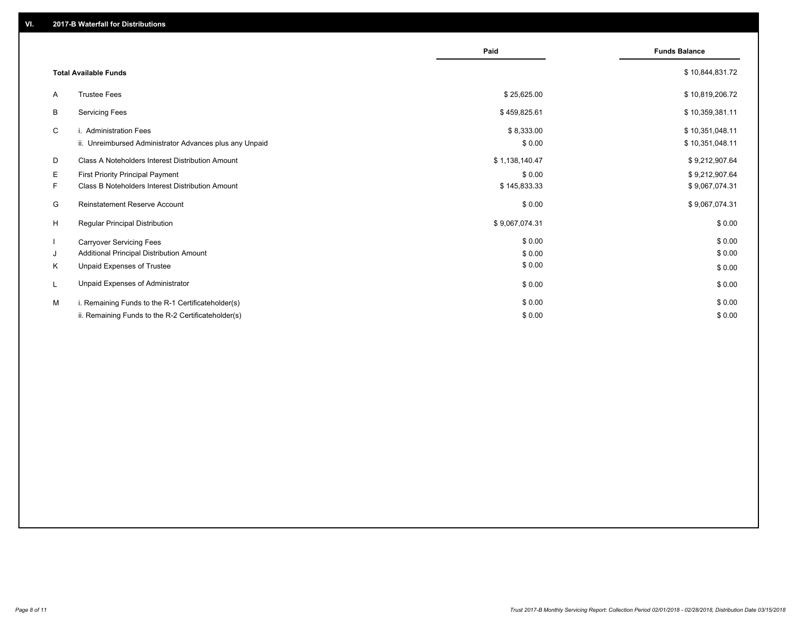|    |                                                         | Paid           | <b>Funds Balance</b> |
|----|---------------------------------------------------------|----------------|----------------------|
|    | <b>Total Available Funds</b>                            |                | \$10,844,831.72      |
| A  | <b>Trustee Fees</b>                                     | \$25,625.00    | \$10,819,206.72      |
| В  | <b>Servicing Fees</b>                                   | \$459,825.61   | \$10,359,381.11      |
| C  | i. Administration Fees                                  | \$8,333.00     | \$10,351,048.11      |
|    | ii. Unreimbursed Administrator Advances plus any Unpaid | \$0.00         | \$10,351,048.11      |
| D  | Class A Noteholders Interest Distribution Amount        | \$1,138,140.47 | \$9,212,907.64       |
| Е  | First Priority Principal Payment                        | \$0.00         | \$9,212,907.64       |
| F. | Class B Noteholders Interest Distribution Amount        | \$145,833.33   | \$9,067,074.31       |
| G  | <b>Reinstatement Reserve Account</b>                    | \$0.00         | \$9,067,074.31       |
| H  | Regular Principal Distribution                          | \$9,067,074.31 | \$0.00               |
|    | <b>Carryover Servicing Fees</b>                         | \$0.00         | \$0.00               |
| J  | Additional Principal Distribution Amount                | \$0.00         | \$0.00               |
| Κ  | Unpaid Expenses of Trustee                              | \$0.00         | \$0.00               |
| L  | Unpaid Expenses of Administrator                        | \$0.00         | \$0.00               |
| M  | i. Remaining Funds to the R-1 Certificateholder(s)      | \$0.00         | \$0.00               |
|    | ii. Remaining Funds to the R-2 Certificateholder(s)     | \$0.00         | \$0.00               |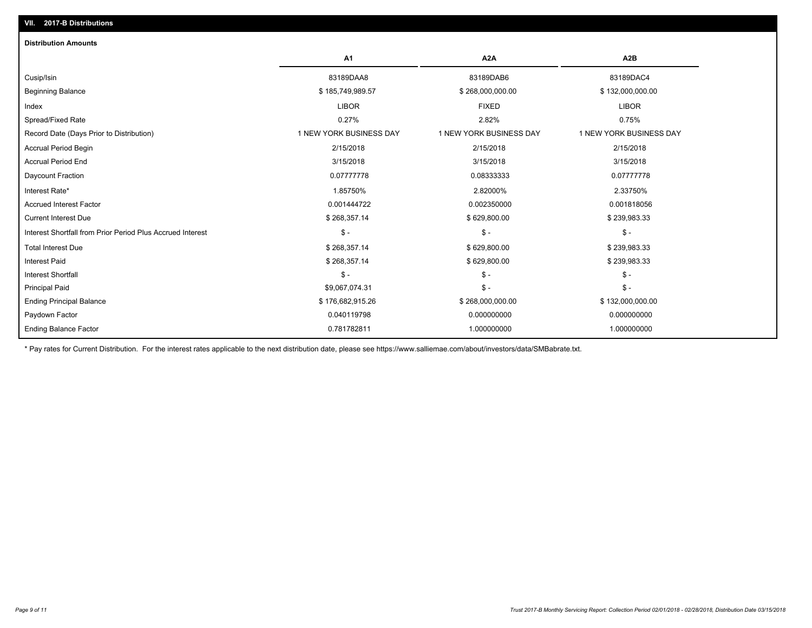| <b>Distribution Amounts</b>                                |                         |                         |                         |
|------------------------------------------------------------|-------------------------|-------------------------|-------------------------|
|                                                            | A <sub>1</sub>          | A <sub>2</sub> A        | A2B                     |
| Cusip/Isin                                                 | 83189DAA8               | 83189DAB6               | 83189DAC4               |
| <b>Beginning Balance</b>                                   | \$185,749,989.57        | \$268,000,000.00        | \$132,000,000.00        |
| Index                                                      | <b>LIBOR</b>            | <b>FIXED</b>            | <b>LIBOR</b>            |
| Spread/Fixed Rate                                          | 0.27%                   | 2.82%                   | 0.75%                   |
| Record Date (Days Prior to Distribution)                   | 1 NEW YORK BUSINESS DAY | 1 NEW YORK BUSINESS DAY | 1 NEW YORK BUSINESS DAY |
| <b>Accrual Period Begin</b>                                | 2/15/2018               | 2/15/2018               | 2/15/2018               |
| <b>Accrual Period End</b>                                  | 3/15/2018               | 3/15/2018               | 3/15/2018               |
| Daycount Fraction                                          | 0.07777778              | 0.08333333              | 0.07777778              |
| Interest Rate*                                             | 1.85750%                | 2.82000%                | 2.33750%                |
| <b>Accrued Interest Factor</b>                             | 0.001444722             | 0.002350000             | 0.001818056             |
| <b>Current Interest Due</b>                                | \$268,357.14            | \$629,800.00            | \$239,983.33            |
| Interest Shortfall from Prior Period Plus Accrued Interest | $\mathsf{\$}$ -         | $\mathcal{S}$ -         | $\mathsf{\$}$ -         |
| <b>Total Interest Due</b>                                  | \$268,357.14            | \$629,800.00            | \$239,983.33            |
| <b>Interest Paid</b>                                       | \$268,357.14            | \$629,800.00            | \$239,983.33            |
| <b>Interest Shortfall</b>                                  | $\mathsf{\$}$ -         | $\mathsf{\$}$ -         | $\mathsf{\$}$ -         |
| <b>Principal Paid</b>                                      | \$9,067,074.31          | $\mathsf{\$}$ -         | $\mathsf{\$}$ -         |
| <b>Ending Principal Balance</b>                            | \$176,682,915.26        | \$268,000,000.00        | \$132,000,000.00        |
| Paydown Factor                                             | 0.040119798             | 0.000000000             | 0.000000000             |
| <b>Ending Balance Factor</b>                               | 0.781782811             | 1.000000000             | 1.000000000             |

\* Pay rates for Current Distribution. For the interest rates applicable to the next distribution date, please see https://www.salliemae.com/about/investors/data/SMBabrate.txt.

**VII. 2017-B Distributions**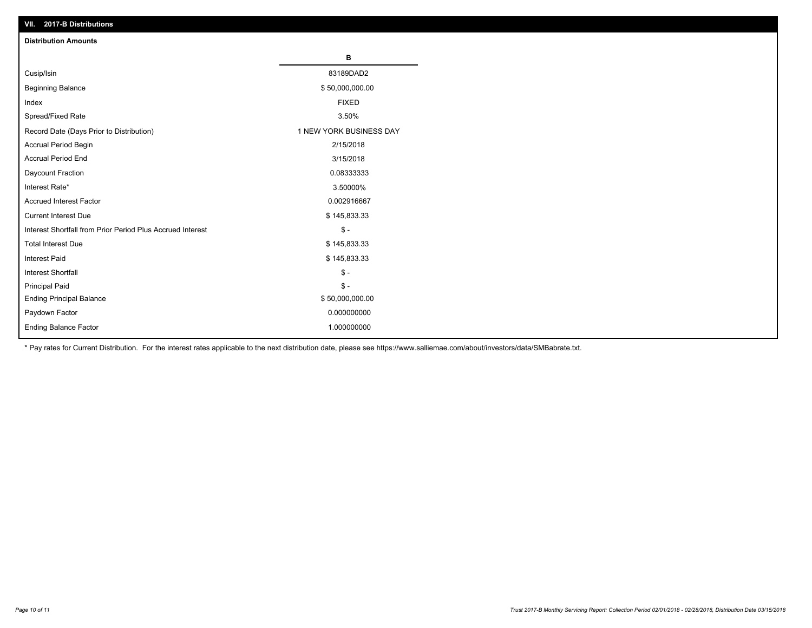| VII. 2017-B Distributions                                  |                         |
|------------------------------------------------------------|-------------------------|
| <b>Distribution Amounts</b>                                |                         |
|                                                            | в                       |
| Cusip/Isin                                                 | 83189DAD2               |
| <b>Beginning Balance</b>                                   | \$50,000,000.00         |
| Index                                                      | <b>FIXED</b>            |
| Spread/Fixed Rate                                          | 3.50%                   |
| Record Date (Days Prior to Distribution)                   | 1 NEW YORK BUSINESS DAY |
| Accrual Period Begin                                       | 2/15/2018               |
| <b>Accrual Period End</b>                                  | 3/15/2018               |
| Daycount Fraction                                          | 0.08333333              |
| Interest Rate*                                             | 3.50000%                |
| <b>Accrued Interest Factor</b>                             | 0.002916667             |
| <b>Current Interest Due</b>                                | \$145,833.33            |
| Interest Shortfall from Prior Period Plus Accrued Interest | $\mathsf{\$}$ -         |
| <b>Total Interest Due</b>                                  | \$145,833.33            |
| <b>Interest Paid</b>                                       | \$145,833.33            |
| <b>Interest Shortfall</b>                                  | $\mathsf{\$}$ -         |
| <b>Principal Paid</b>                                      | $\mathbb{S}$ -          |
| <b>Ending Principal Balance</b>                            | \$50,000,000.00         |
| Paydown Factor                                             | 0.000000000             |
| Ending Balance Factor                                      | 1.000000000             |

\* Pay rates for Current Distribution. For the interest rates applicable to the next distribution date, please see https://www.salliemae.com/about/investors/data/SMBabrate.txt.